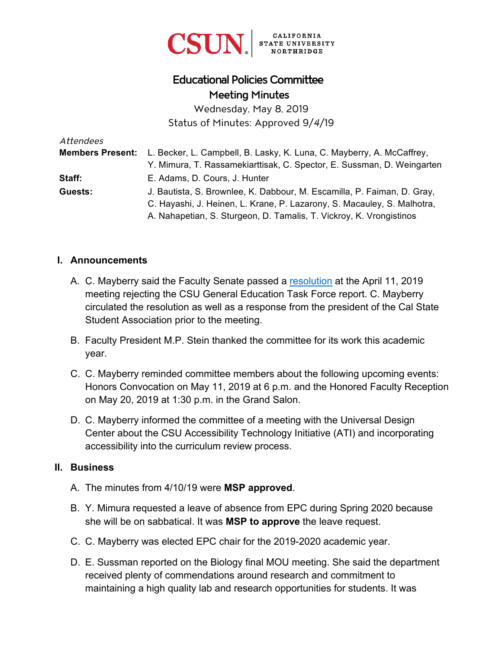

# Educational Policies Committee Meeting Minutes

Wednesday, May 8, 2019 Status of Minutes: Approved 9/*4*/19

| Attendees |                                                                                               |
|-----------|-----------------------------------------------------------------------------------------------|
|           | <b>Members Present:</b> L. Becker, L. Campbell, B. Lasky, K. Luna, C. Mayberry, A. McCaffrey, |
|           | Y. Mimura, T. Rassamekiarttisak, C. Spector, E. Sussman, D. Weingarten                        |
| Staff:    | E. Adams, D. Cours, J. Hunter                                                                 |
| Guests:   | J. Bautista, S. Brownlee, K. Dabbour, M. Escamilla, P. Faiman, D. Gray,                       |
|           | C. Hayashi, J. Heinen, L. Krane, P. Lazarony, S. Macauley, S. Malhotra,                       |
|           | A. Nahapetian, S. Sturgeon, D. Tamalis, T. Vickroy, K. Vrongistinos                           |

#### **I. Announcements**

- A. C. Mayberry said the Faculty Senate passed a [resolution](https://www.csun.edu/sites/default/files/CSUN GETF Resolution.pdf) at the April 11, 2019 meeting rejecting the CSU General Education Task Force report. C. Mayberry circulated the resolution as well as a response from the president of the Cal State Student Association prior to the meeting.
- B. Faculty President M.P. Stein thanked the committee for its work this academic year.
- C. C. Mayberry reminded committee members about the following upcoming events: Honors Convocation on May 11, 2019 at 6 p.m. and the Honored Faculty Reception on May 20, 2019 at 1:30 p.m. in the Grand Salon.
- D. C. Mayberry informed the committee of a meeting with the Universal Design Center about the CSU Accessibility Technology Initiative (ATI) and incorporating accessibility into the curriculum review process.

#### **II. Business**

- A. The minutes from 4/10/19 were **MSP approved**.
- B. Y. Mimura requested a leave of absence from EPC during Spring 2020 because she will be on sabbatical. It was **MSP to approve** the leave request.
- C. C. Mayberry was elected EPC chair for the 2019-2020 academic year.
- D. E. Sussman reported on the Biology final MOU meeting. She said the department received plenty of commendations around research and commitment to maintaining a high quality lab and research opportunities for students. It was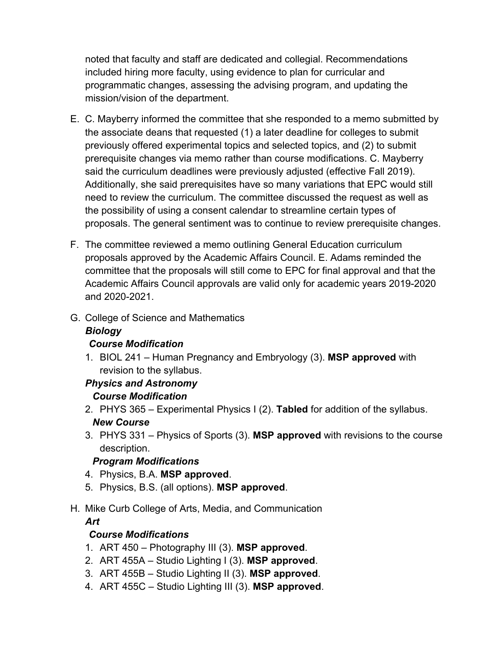noted that faculty and staff are dedicated and collegial. Recommendations included hiring more faculty, using evidence to plan for curricular and programmatic changes, assessing the advising program, and updating the mission/vision of the department.

- E. C. Mayberry informed the committee that she responded to a memo submitted by the associate deans that requested (1) a later deadline for colleges to submit previously offered experimental topics and selected topics, and (2) to submit prerequisite changes via memo rather than course modifications. C. Mayberry said the curriculum deadlines were previously adjusted (effective Fall 2019). Additionally, she said prerequisites have so many variations that EPC would still need to review the curriculum. The committee discussed the request as well as the possibility of using a consent calendar to streamline certain types of proposals. The general sentiment was to continue to review prerequisite changes.
- F. The committee reviewed a memo outlining General Education curriculum proposals approved by the Academic Affairs Council. E. Adams reminded the committee that the proposals will still come to EPC for final approval and that the Academic Affairs Council approvals are valid only for academic years 2019-2020 and 2020-2021.
- G. College of Science and Mathematics

#### *Biology*

#### *Course Modification*

1. BIOL 241 – Human Pregnancy and Embryology (3). **MSP approved** with revision to the syllabus.

#### *Physics and Astronomy Course Modification*

- 2. PHYS 365 Experimental Physics I (2). **Tabled** for addition of the syllabus. *New Course*
- 3. PHYS 331 Physics of Sports (3). **MSP approved** with revisions to the course description.

### *Program Modifications*

- 4. Physics, B.A. **MSP approved**.
- 5. Physics, B.S. (all options). **MSP approved**.
- H. Mike Curb College of Arts, Media, and Communication

#### *Art*

### *Course Modifications*

- 1. ART 450 Photography III (3). **MSP approved**.
- 2. ART 455A Studio Lighting I (3). **MSP approved**.
- 3. ART 455B Studio Lighting II (3). **MSP approved**.
- 4. ART 455C Studio Lighting III (3). **MSP approved**.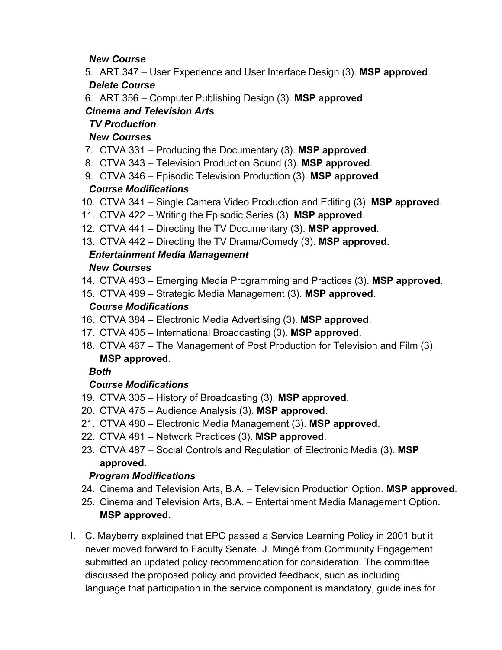### *New Course*

5. ART 347 – User Experience and User Interface Design (3). **MSP approved**.

## *Delete Course*

6. ART 356 – Computer Publishing Design (3). **MSP approved**.

# *Cinema and Television Arts*

## *TV Production*

## *New Courses*

- 7. CTVA 331 Producing the Documentary (3). **MSP approved**.
- 8. CTVA 343 Television Production Sound (3). **MSP approved**.
- 9. CTVA 346 Episodic Television Production (3). **MSP approved**.

# *Course Modifications*

- 10. CTVA 341 Single Camera Video Production and Editing (3). **MSP approved**.
- 11. CTVA 422 Writing the Episodic Series (3). **MSP approved**.
- 12. CTVA 441 Directing the TV Documentary (3). **MSP approved**.
- 13. CTVA 442 Directing the TV Drama/Comedy (3). **MSP approved**.

# *Entertainment Media Management*

### *New Courses*

- 14. CTVA 483 Emerging Media Programming and Practices (3). **MSP approved**.
- 15. CTVA 489 Strategic Media Management (3). **MSP approved**.

## *Course Modifications*

- 16. CTVA 384 Electronic Media Advertising (3). **MSP approved**.
- 17. CTVA 405 International Broadcasting (3). **MSP approved**.
- 18. CTVA 467 The Management of Post Production for Television and Film (3). **MSP approved**.

### *Both*

# *Course Modifications*

- 19. CTVA 305 History of Broadcasting (3). **MSP approved**.
- 20. CTVA 475 Audience Analysis (3). **MSP approved**.
- 21. CTVA 480 Electronic Media Management (3). **MSP approved**.
- 22. CTVA 481 Network Practices (3). **MSP approved**.
- 23. CTVA 487 Social Controls and Regulation of Electronic Media (3). **MSP approved**.

# *Program Modifications*

- 24. Cinema and Television Arts, B.A. Television Production Option. **MSP approved**.
- 25. Cinema and Television Arts, B.A. Entertainment Media Management Option. **MSP approved.**
- I. C. Mayberry explained that EPC passed a Service Learning Policy in 2001 but it never moved forward to Faculty Senate. J. Mingé from Community Engagement submitted an updated policy recommendation for consideration. The committee discussed the proposed policy and provided feedback, such as including language that participation in the service component is mandatory, guidelines for